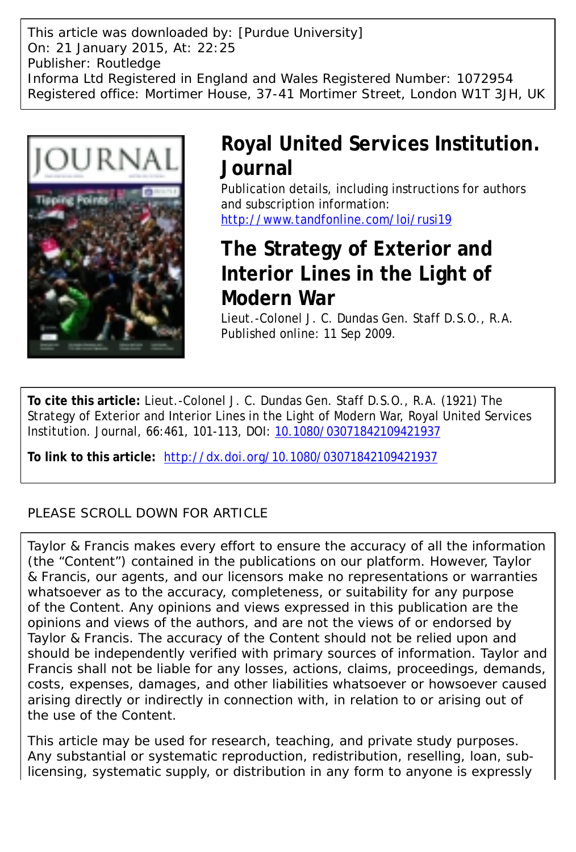This article was downloaded by: [Purdue University] On: 21 January 2015, At: 22:25 Publisher: Routledge Informa Ltd Registered in England and Wales Registered Number: 1072954 Registered office: Mortimer House, 37-41 Mortimer Street, London W1T 3JH, UK



# **Royal United Services Institution. Journal**

Publication details, including instructions for authors and subscription information: <http://www.tandfonline.com/loi/rusi19>

# **The Strategy of Exterior and Interior Lines in the Light of Modern War**

Lieut.-Colonel J. C. Dundas Gen. Staff D.S.O., R.A. Published online: 11 Sep 2009.

**To cite this article:** Lieut.-Colonel J. C. Dundas Gen. Staff D.S.O., R.A. (1921) The Strategy of Exterior and Interior Lines in the Light of Modern War, Royal United Services Institution. Journal, 66:461, 101-113, DOI: [10.1080/03071842109421937](http://www.tandfonline.com/action/showCitFormats?doi=10.1080/03071842109421937)

**To link to this article:** <http://dx.doi.org/10.1080/03071842109421937>

# PLEASE SCROLL DOWN FOR ARTICLE

Taylor & Francis makes every effort to ensure the accuracy of all the information (the "Content") contained in the publications on our platform. However, Taylor & Francis, our agents, and our licensors make no representations or warranties whatsoever as to the accuracy, completeness, or suitability for any purpose of the Content. Any opinions and views expressed in this publication are the opinions and views of the authors, and are not the views of or endorsed by Taylor & Francis. The accuracy of the Content should not be relied upon and should be independently verified with primary sources of information. Taylor and Francis shall not be liable for any losses, actions, claims, proceedings, demands, costs, expenses, damages, and other liabilities whatsoever or howsoever caused arising directly or indirectly in connection with, in relation to or arising out of the use of the Content.

This article may be used for research, teaching, and private study purposes. Any substantial or systematic reproduction, redistribution, reselling, loan, sublicensing, systematic supply, or distribution in any form to anyone is expressly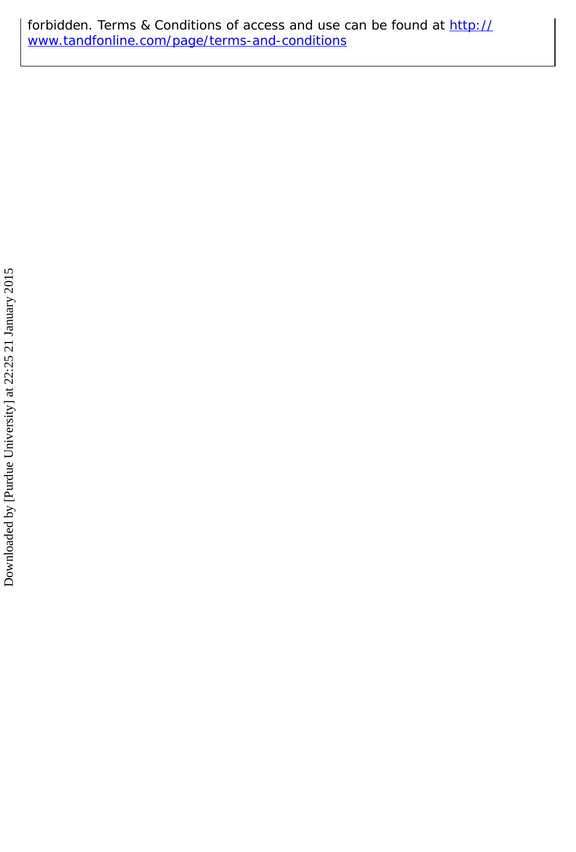forbidden. Terms & Conditions of access and use can be found at [http://](http://www.tandfonline.com/page/terms-and-conditions) [www.tandfonline.com/page/terms-and-conditions](http://www.tandfonline.com/page/terms-and-conditions)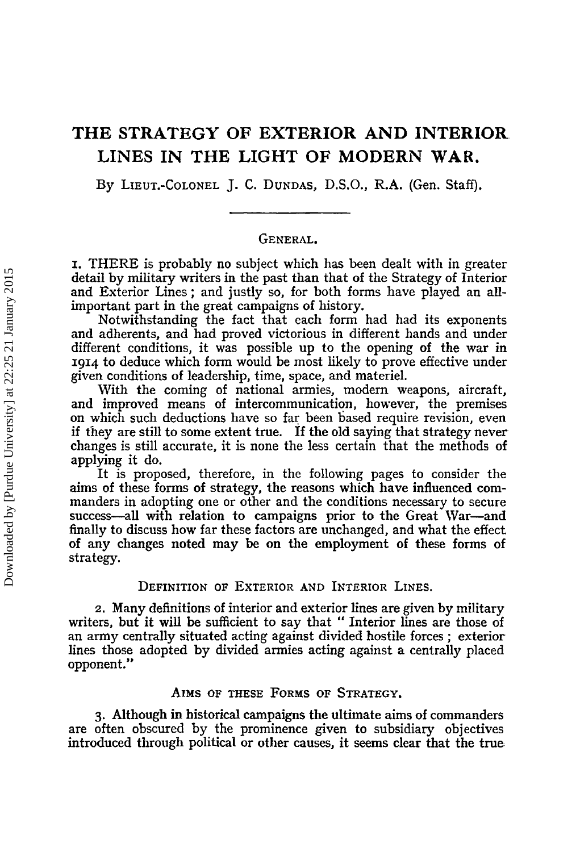# **THE STRATEGY OF EXTERIOR AND INTERIOR LINES IN THE LIGHT OF MODERN WAR.**

By **LIEUT.-COLONEL** J. **C. DUNDAS, D.S.O., R.A.** (Gen. Staff).

#### **GENERAL,**

I. **THERE** is probably no subject which has been dealt with in greater detail by military writers in the past than that **of** the Strategy **of** Interior and Exterior Lines ; and justly so, for both forms have played an allimportant part in the great campaigns of history.

Notwithstanding the fact that each form had had its exponents and adherents, and had proved victorious in different hands and under different conditions, it was possible up to the opening of the war in **1914** to deduce which form would be most likely to prove effective under given conditions of leadership, time, space, and materiel.

With the coming of national armies, modern weapons, aircraft, and improved means **of** intercommunication, however, the premises on which such deductions have so far been based require revision, even if they are still to some extent true. If the old **saying** that strategy never changes is still accurate, it is none the less certain that the methods of applying it do.

It is proposed, therefore, in the following pages to consider the aims of these forms of strategy, the reasons which have influenced commanders in adopting one or other and the conditions necessary to secure success-all with relation to campaigns prior to the Great War-and finally to discuss how far these factors are unchanged, and what the effect of any changes noted may be **on** the employment **of** these forms of strategy.

# **DEFINITION OF EXTERIOR AND INTERIOR LINES.**

*2.* Many definitions of interior and exterior lines are given by military writers, but it will be sufficient to say that " Interior lines are those of an army centrally situated acting against divided hostile forces ; exterior lines those adopted by divided armies acting against a centrally placed opponent."

# **AIMS OF THESE FORMS OF STRATEGY,**

**3.** Although in historical campaigns the ultimate aims of commanders are often obscured by the prominence given to subsidiary objectives introduced through political or other causes, it seems clear that the true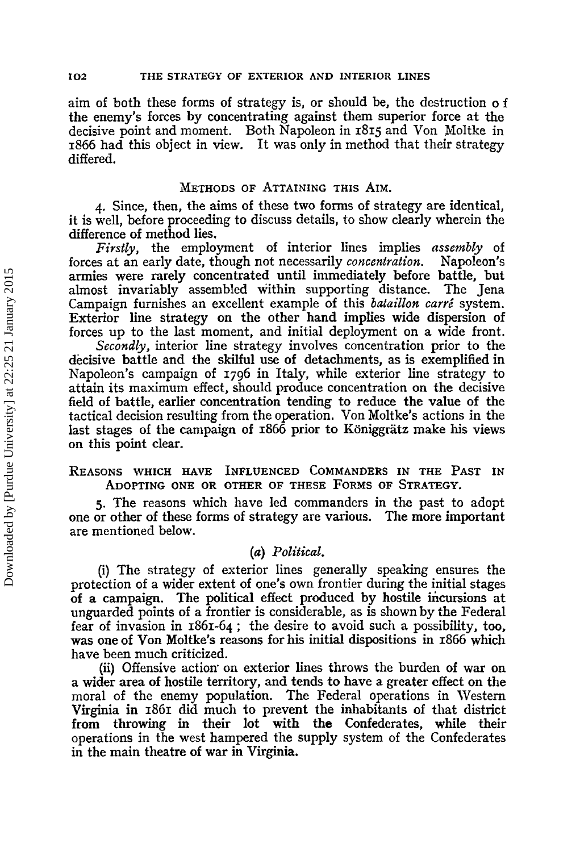aim of both these forms of strategy is, or should be, the destruction *o* f the enemy's forces by concentrating against them superior force at the decisive point and moment. Both Napoleon in **1815** and Von Moltke in 1866 had this object in view. It was only in method that their strategy differed.

## **METHODS OF ATTAINING THIS AIM.**

**4.** Since, then, the aims of these two forms of strategy are identical, it is well, before proceeding to discuss details, to show clearly wherein the difference of method lies.

*Firstly,* the employment of interior lines implies *assembly* of forces at an early date, though not necessarily *concentration.* Napoleon's armies were rarely concentrated until immediately before battle, but almost invariably assembled within supporting distance. The Jena Campaign furnishes an excellent example **of** this *bataillon caruc'* system. Exterior line strategy on the other hand implies wide dispersion of forces up to the last moment, and initial deployment on a wide front.

*Secondly,* interior line strategy involves concentration prior to the decisive battle and the skilful use of detachments, as is exemplified in Napoleon's campaign of 1796 in Italy, while exterior line strategy to attain its maximum effect, should produce concentration on the decisive field of battle, earlier concentration tending to reduce the value **of** the tactical decision resulting from the operation. Von Moltke's actions in the last stages of the campaign **of 1866** prior to Koniggratz make his views on this point clear.

# **REASONS WHICH HAVE INFLUENCED COMMANDERS IN THE PAST IN ADOPTING ONE OR OTHER OF THESE FORMS OFSTRATEGY.**

*5.* The reasons which have led commanders in the past to adopt one or other of these forms of strategy are various. The more important are mentioned below.

# *(a) Political.*

(i) The strategy of exterior lines generally speaking ensures the protection of a wider extent of one's own frontier during the initial stages of a campaign, The political effect produced by hostile hcursions at unguarded points of a frontier is considerable, as is shown by the Federal fear of invasion in **1S61-64** ; the desire to avoid such a possibility, too, was one **of** Von Moltke's reasons for his initial dispositions in **1866** which have been much criticized.

(ii) Offensive action' on exterior lines throws the burden of **war** on a wider area of hostile territory, and tends to have a greater effect on the moral of the enemy population. The Federal operations in Western Virginia in **1861** did much to prevent the inhabitants of that district from throwing in their lot with the Confederates, while their operations in the west hampered the supply system of the Confederates in the main theatre of war in Virginia.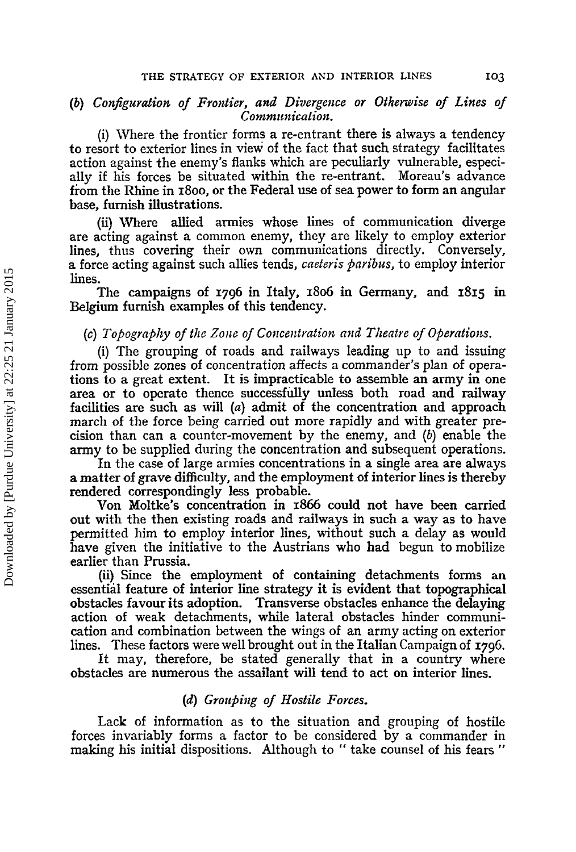# (b) Configuration of Frontier, and Divergence or Otherwise of Lines of *Commiwicntion.*

(i) Where the frontier forms a re-entrant there is always a tendency to resort to exterior lines in view of the fact that such strategy facilitates action against the enemy's flanks which are peculiarly vulnerable, especially if his forces be situated within the re-entrant. Moreau's advance from the Rhine in **1800,** or the Federal **use** of sea power to form an angular base, furnish illustrations.

(ii) Where allied armies whose lines of communication diverge are acting against a common enemy, they are likely to employ exterior lines, thus covering their own communications directly. Conversely, a force acting against such allies tends, *cneteris pnribus,* to employ interior lines.

The campaigns of **1796** in Italy, **1806** in Germany, and **1815** in Belgium furnish examples **of** this tendency.

# *(c) Topography of tlie Zone of Coiiceiitvntion and Tlientre of Operations.*

(i) The grouping of roads and railways leading **up** to and issuing from possible zones of concentration affects a commander's plan of operations to a great extent. It is impracticable to assemble an army in one area or to operate thence successfully unless both road and railway facilities are such as will *(a)* admit of the concentration and approach march of the force being carried out more rapidly and with greater precision than can a counter-movement by the enemy, and *(b)* enable the army to be supplied during the concentration and subsequent operations.

In the case of large armies concentrations in a single area are always a matter of grave difficulty, and the employment of interior lines **is** thereby rendered correspondingly less probable.

Von Moltke's concentration in **1866** could not have **been** carried out with the then existing roads and railways in such a way as to have permitted him to employ interior lines, without such a delay as would have given the initiative to the Austrians who had begun tomobilize earlier than Prussia.

(ii) Since the employment of containing detachments forms **an**  essential feature of interior line strategy it is evident that topographical obstacles favour its adoption. Transverse obstacles enhance the delaying action of weak detachments, while lateral obstacles hinder communication and combination between the wings of an army acting on exterior lines. These factors were well brought out in the Italian Campaign of **1796.** 

It may, therefore, be stated generally that in a country where obstacles are numerous the assailant will tend to act on interior lines.

# (d) *Grotlpiitg of Hostile Forces.*

Lack of information as to the situation and grouping of hostile forces invariably forms a factor to be considered by a commander in making his initial dispositions. Although to " take counsel of his fears "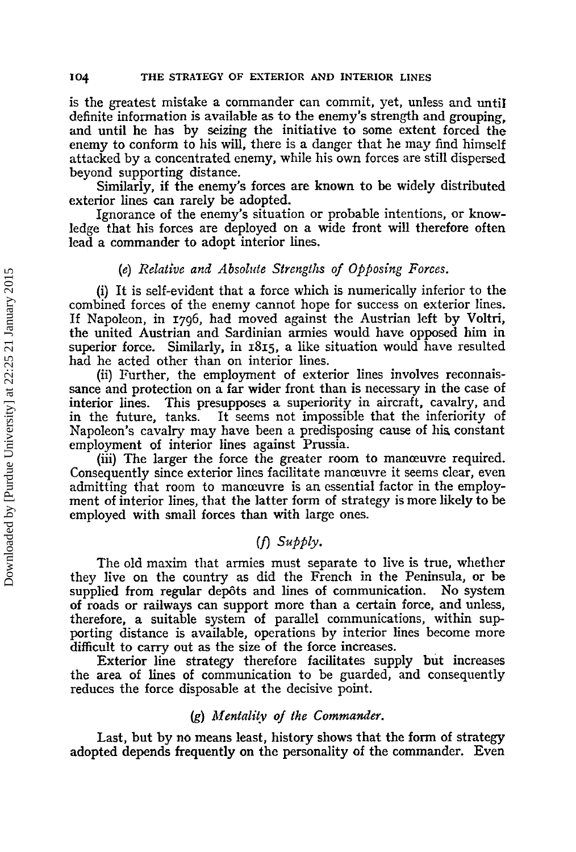is the greatest mistake a commander can commit, yet, unless **and** until definite information is available as to the enemy's strength and grouping. and until he has by seizing the initiative to some extent forced the enemy to conform to his will, there is *a* danger that he may find himself attacked by a concentrated enemy, while his own forces are still dispersed beyond supporting distance.

Similarly, if the enemy's forces are known to be widely distributed exterior lines can rarely be adopted.

Ignorance of the enemy's situation or probable intentions, or knowledge that his forces are deployed on a wide front will therefore often lead a commander to adopt interior lines.

# *(e) Relative and Absolute Strength of Opposing Forces.*

(i) It is self-evident that a force which is numerically inferior to the combined forces of the enemy cannot hope for success on exterior lines. If Napoleon, in 1796, had moved against the Austrian left by Voltri, the united Austrian and Sardinian armies would have opposed him in superior force. Similarly, in **1815,** a like situation would have resulted had he acted other than on interior lines.

(ii) Further, the employment of exterior lines involves reconnaissance and protection on *a* far wider front than is necessary in the case of interior lines. This presupposes **a** superiority in aircraft, cavalry, and in the future, tanks. It seems not impossible that the inferiority of Napoleon's cavalry may have been a predisposing cause of his constant employment of interior lines against Prussia.

(iii) The larger the force the greater room to manceuvre required. Consequently since exterior lines facilitate manceuvre it seems clear, even admitting that room to manœuvre is an essential factor in the employment of interior lines, that the latter form of strategy is more likely to be employed with small forces than with large ones.

# $(f)$  Supply.

The old maxim that armies must separate to live is true, whether they live on the country as did the French in the Peninsula, or be supplied from regular depôts and lines of communication. No system **of** roads or railways can support more than a certain force, and unless, therefore, a suitable system of parallel communications, within sup porting distance is available, operations by interior lines become more difficult to carry out as the size of the force increases.

Exterior line strategy therefore facilitates supply but increases the area of lines of communication to be guarded, and consequently reduces the force disposable at the decisive point.

# (g) *Afentcrlity of the Commander.*

Last, but by no means least, history shows that the form of strategy adopted depends frequently on the personality of the commander. Even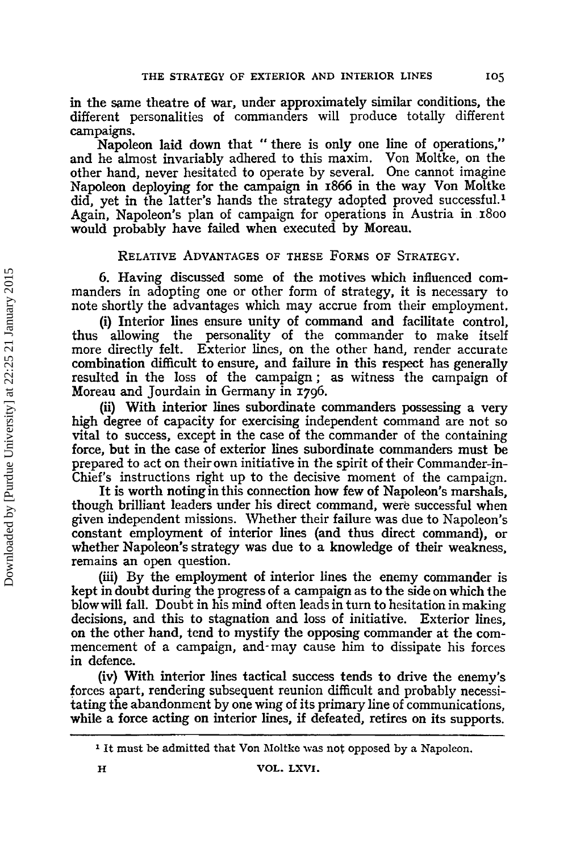in the same theatre of war, under approximately similar conditions, the different personalities of commanders will produce totally different **campaigns.** 

Napoleon laid down that '' there is only one line of operations," and he almost invariably adhered to this maxim. Von Moltke, on the other hand, never hesitated to operate by several. One cannot imagine Napoleon deploying for the campaign in **1866** in the way Von Moltke did, yet in the latter's hands the strategy adopted proved successful.<sup>1</sup> Again, Napoleon's plan of campaign for operations in Austria in **1800**  would probably have failed when executed by Moreau.

# **RELATIVE ADVANTAGES OF THESE FORMS OF STRATEGY.**

*6.* Having discussed some of the motives which influenced commanders in adopting one or other form of strategy, it is necessary to note shortly the advantages which may accrue from their employment.

(i) Interior lines ensure unity of command and facilitate control, thus allowing the personality of the commander to make itself more directly felt. Exterior **lines,** on the other hand, render accurate combination difficult to ensure, and failure in this respect has generally resulted in the loss of the campaign; as witness the campaign of Moreau and Jourdain in Germany in **1796.** 

(ii) With interior lines subordinate commanders possessing a very high degree of capacity for exercising independent command are not so vital to success, except in the case of the commander **of** the containing force, but in the case of exterior lines subordinate commanders must **be**  prepared to act on their own initiative in the spirit of their Commander-in-Chief's instructions right up to the decisive moment of the campaign.

It is worth noting in this connection how few of Napoleon's marshals, though brilliant leaders under his direct command, were successful when given independent missions. Whether their failure was due to Napoleon's constant employment of interior lines (and thus direct command), or whether Napoleon's strategy was due to a knowledge **of** their weakness, remains an open question.

(iii) By the employment of interior lines the enemy commander is kept in doubt during the progress of a campaign as to the side on which the blow will fall. Doubt in his mind often leads in turn to hesitation in making decisions, and this to stagnation and loss of initiative. Exterior lines, on the other hand, tend to mystify the opposing commander at the commencement of a campaign, and-may cause him to dissipate his forces in defence.

**(iv)** With interior lines tactical success tends to drive the enemy's forces apart, rendering subsequent reunion difficult and probably necessitating the abandonment by one wing of its primary line **of** communications, while a force acting on interior lines, if defeated, retires **on** its supports.

**<sup>1</sup>***It* **must be admitted** *that* **Von RIoltke was** not **opposed by a Napoleon.**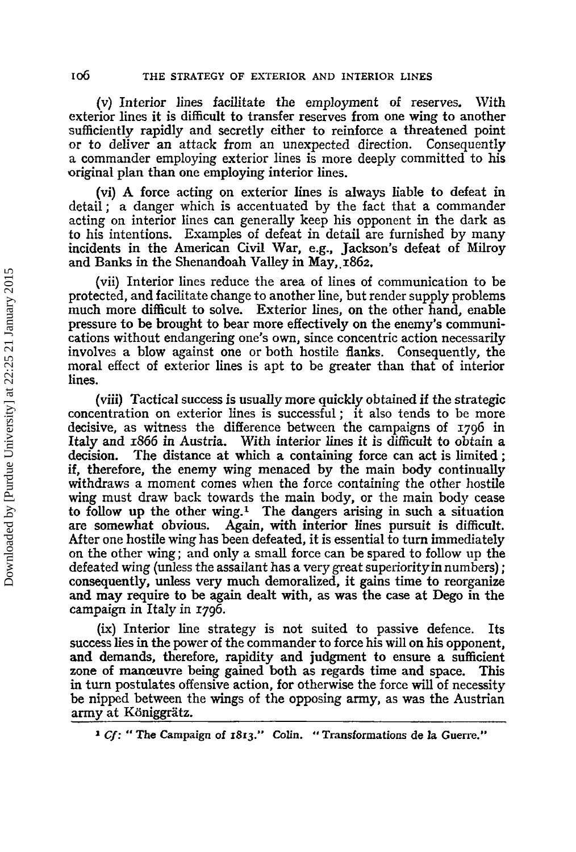(v) Interior lines facilitate the employment of reserves. With exterior lines it is difficult to transfer reserves from one wing to another sufficiently rapidly and secretly either to reinforce a threatened point or to deliver an attack from an unexpected direction. Consequently a commander employing exterior lines is more deeply committed to his original plan than one employing interior lines.

(vi) **A** force acting on exterior lines is always liable to defeat in detail; a danger which is accentuated by the fact that a commander acting on interior lines can generally keep his opponent in the dark as to his intentions. Examples of defeat in detail are furnished by many incidents in the American Civil **War,** *e.g.,* Jackson's defeat of Milroy and Banks in the Shenandoah Valley in May, 1862.

(vii) Interior lines reduce the area of lines of communication to be protected, and facilitate change to another line, but render supply problems much more difficult to solve. Exterior lines, on the other hand, enable pressure to be brought to bear more effectively on the enemy's communications without endangering one's own, since concentric action necessarily involves a blow against one or both hostile **flanks.** Consequently, the moral effect of exterior lines is apt to be greater than that of interior lines.

**(viii)** Tactical success is usually more quickly obtained if the strategic concentration on exterior lines is successful; it also tends to be more decisive, as witness the difference between the campaigns of 1796 in Italy and **1866** in Austria. With interior lines it **is** difficult to obtain a decision. The distance at which a containing force can act is limited ; if, therefore, the enemy wing menaced by the main body continually withdraws a moment comes when the force containing the other hostile wing must draw back towards the main body, or the main body cease to follow up the other wing.<sup>1</sup> The dangers arising in such a situation are somewhat obvious. **Again,** with interior lines pursuit is difficult. After one hostile wing has been defeated, it is essential to turn immediately on the other wing; and only a small force can be spared to follow **up** the defeated wing (unless the assailant has a very great superiority in numbers); consequently, unless very much demoralized, it gains time to reorganize and may require to be again dealt with, as was the case at Dego in the campaign in Italy in **1796.** 

*(ix)* Interior line strategy is not suited to passive defence. Its success lies in the power of the commander to force his will on **his** opponent, **and** demands, therefore, rapidity and judgment to ensure **a** sufficient zone of manœuvre being gained both as regards time and space. This in turn postulates offensive action, for otherwise the force will of necessity be nipped between the wings of the opposing army, as was the Austrian army at Königgrätz.

**<sup>1</sup>***Cf:* '\* *The* **Campaign of 18x3." Colin.** " **Transformations** *de* **la Guerre."**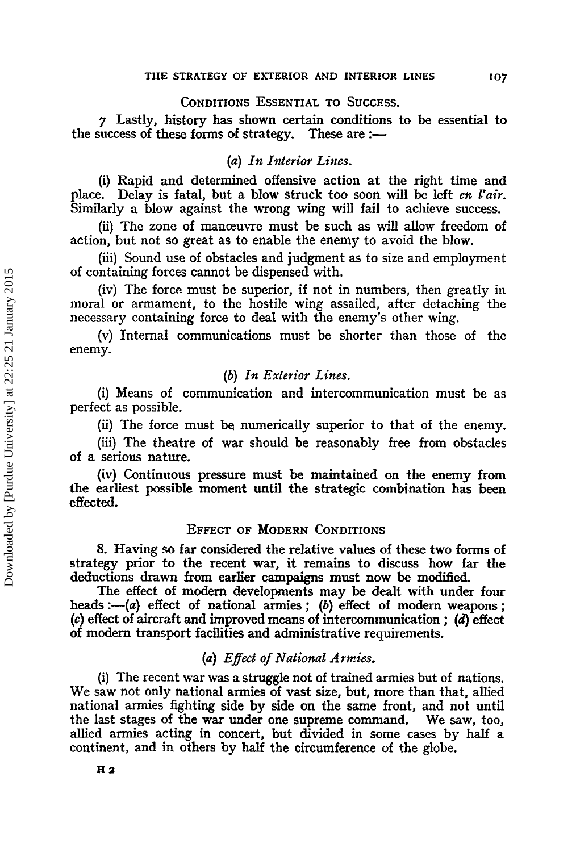#### **CONDITIONS ESSENTIAL TO SUCCESS.**

**7** Lastly, history has shown certain conditions to be essential to the success of these forms of strategy. These are :-

## *(a)* In Interior Lines.

(i) Rapid and determined offensive action at the right time and place. Delay is fatal, but a blow struck too soon will be left *en l'air*. Similarly a blow against the wrong wing will fail to achieve success.

(ii) The zone of manceuvre must be such as will allow freedom of action, but not so great as to enable the enemy to avoid the blow.

(iii) Sound use of obstacles and judgment as to size and employment of containing forces cannot be dispensed with.

(iv) The force must be superior, if not in numbers, then greatly in moral or armament, to the hostile wing assailed, after detaching the necessary containing force to deal with the enemy's other wing.

(v) Internal communications must be shorter than those of the enemy.

# *(b) Ifi Exterior Lines.*

(i) Means of communication and intercommunication must be as perfect as possible.

(ii) The force must be numerically superior to that of the enemy.

(iii) The theatre of war should be reasonably free from obstacles of a serious nature.

(iv) Continuous pressure must be maintained on the enemy from the earliest possible moment until the strategic combination has been effected.

## **EFFECT OF MODERN CONDITIONS**

8. Having so far considered the relative values of these two forms of strategy prior to the recent war, it remains to discuss how far the deductions drawn from earlier campaigns must now be modified.

The effect of modern developments may be dealt with under four heads :--(a) effect of national armies ; (b) effect of modern weapons ; heads :—(*a*) effect of national armies ; (*b*) effect of modern weapons ; (*c*) effect of aircraft and improved means of intercommunication ; (*d*) effect of modem transport facilities **and** administrative requirements.

## *(G) Efed of National Armies.*

**(i)** The recent war was a struggle not of trained armies but of nations. We saw not only national armies of vast size, but, more than that, allied national armies fighting side by side on the same front, and not until the last stages of the **war** under one supreme command. We saw, too, allied armies acting in concert, but divided in some cases by half a continent, and in others by half the circumference of the globe.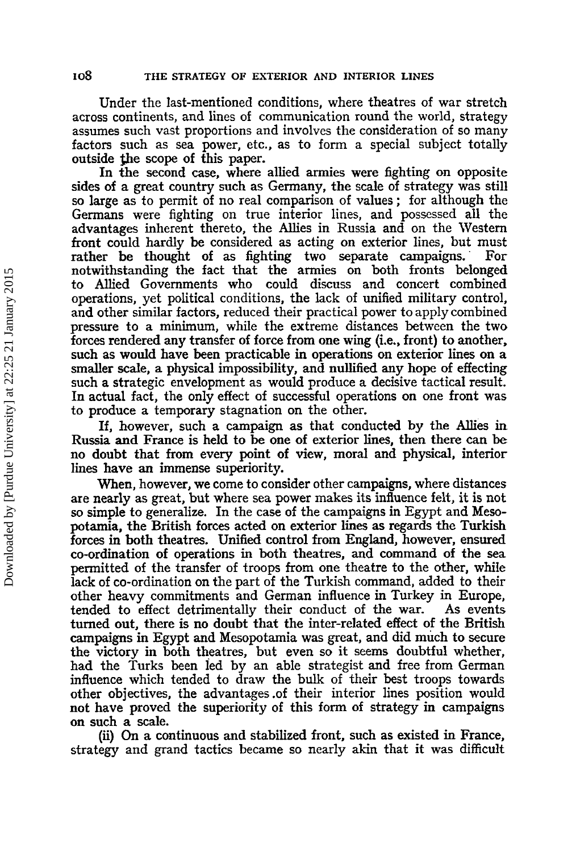Under the last-mentioned conditions, where theatres of war stretch across continents, and lines of communication round the world, strategy assumes such vast proportions and involves the consideration of so many factors such as sea power, etc., as to form a special subject totally outside the scope of this paper.

In the second case, where allied armies were fighting on opposite sides of a great country such as Germany, the scale of strategy **was** still so large as to permit of no real comparison **of** values ; for although the Germans were fighting on true interior lines, and possessed all the advantages inherent thereto, the Allies in Russia and on the Western front could hardly be considered as acting on exterior lines, but must rather be thought of as fighting two separate campaigns.' For notwithstanding the fact that the armies on both fronts belonged to Allied Governments who could discuss and concert combined operations, yet political conditions, the lack of unified military control, and other similar factors, reduced their practical power to apply combined pressure to a minimum, while the extreme distances between the two forces rendered any transfer **of** force from one **wing** (i.e., front) to another, such **as** would have been practicable in operations **on** exterior lines on a smaller scale, a physical impossibility, and nullified **any** hope of effecting such **a** strategic envelopment as would produce a decisive tactical result. In actual fact, the only effect of successful operations on one front was to produce a temporary stagnation on the other.

If, however, such a campaign as that conducted by the Allies in Russia and France is held to be one of exterior lines, then there can be no doubt that from every point of view, moral and physical, interior lines have an immense superiority.

**When,** however, **we** come to consider other campaigns, where distances are nearly **as** great, but where sea power makes its influence **felt,** it is not so simple to generalize. In the case of the campaigns in Egypt and Mesopotamia, the British forces acted on exterior **lines as** regards the Turkish forces in both theatres. Unified control from England, however, ensured co-ordination of operations in both theatres, and command of the sea permitted of the transfer of troops from one theatre to the other, whiIe lack of co-ordination on the part of the Turkish command, added to their other heavy commitments and German influence in Turkey in Europe, tended to effect detrimentally their conduct of the war. **As** events turned out, there is **no** doubt that the inter-related effect **of** the British campaigns in Egypt and Mesopotamia was great, and did much to secure the victory in both theatres, but even so it seems doubtful whether, had the Turks been led by an able strategist and free from German influence which tended to draw the bulk of their best troops towards other objectives, the advantages .of their interior lines position would not have proved the superiority of this form of strategy in campaigns on such a scale.

(ii) *On* a continuous and stabilized front, such as existed in France, strategy and grand tactics became so nearly akin that **it** was difficult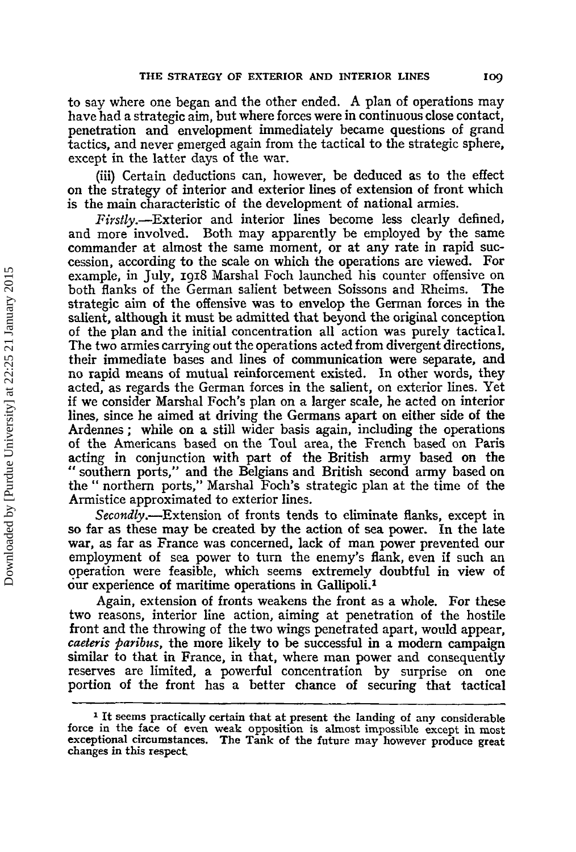to say where one began and the other ended. A plan of operations may have had a strategic aim, but where forces were in continuous close contact, penetration and envelopment immediately became questions of grand tactics, and never emerged again from the tactical to the strategic sphere, except in the latter days of the war.

(iii) Certain deductions can, however, be deduced as to the effect on the strategy of interior and exterior lines of extension of front which is the main characteristic of the development of national armies.

Firstly.-Exterior and interior lines become less clearly defined, and more involved. Both may apparently be employed by the same commander at almost the same moment, or at any rate in rapid succession, according to the scale on which the operations are viewed. For example, in July, 1918 Marshal Foch launched his counter offensive on both flanks of the German salient between Soissons and Rheims. strategic aim of the offensive was to envelop the German forces in the salient, although it must be admitted that **beyond** the original conception of the plan and the initial concentration all action was purely tactical. The two armies carrying out the operations acted from divergent directions, their immediate bases and **lines** of communication were separate, **and**  no rapid means of mutual reinforcement existed. In other words, they acted, as regards the German forces in the salient, on exterior lines. Yet if we consider Marshal Foch's plan on a larger scale, he acted on interior lines, since he aimed at driving the Germans **apart** on either side **of** the Ardennes ; while on a still wider basis again, including the operations **of** the Americans based on the Toul area, the French based on **Paris**  acting in conjunction with part of the British army based on the '' southern ports," and the Belgians and British second army based on the **'I** northern ports," Marshal Foch's strategic plan at the time of the Armistice approximated to exterior lines.

Secondly.—Extension of fronts tends to eliminate flanks, except in so far **as** these may be created by the action of **sea** power. In the late war, as far **as** France was concerned, lack **of** man power prevented our employment **of** sea power to turn the enemy's flank, even if such an operation were feasible, which seems extremely doubtful in view of **our** experience of maritime operations in Gallipoli.1

Again, extension of fronts weakens the front as a whole. For these two reasons, interior line action, aiming at penetration of the hostile front and the throwing of the two wings penetrated apart, would appear, *caeteris paribus,* the more likely to be successful in a modern campaign similar to that in France, in that, where man power and consequently reserves are limited, a powerful concentration by surprise on one portion of the front has a better chance **of** securing that tactical

**<sup>1</sup>It Seems practically certain that at present the landing of any considerable force in the face of even weak opposition is almost impossible except in** most **exceptional circumstances. The Tank of the future may however produce great changes in this respect.**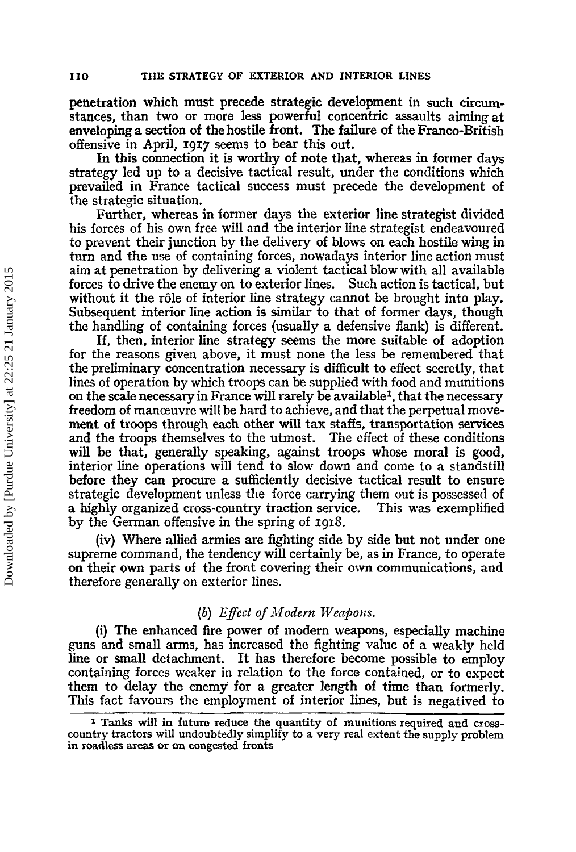penetration which must precede strategic development in such circumstances, than two or more less powerful concentric assaults aimingat enveloping a section of the hostile front. The failure of the Franco-British offensive in April, **1917** seems to bear this out.

In this connection it is worthy **of** note that, whereas in former days strategy led up to a decisive tactical result, under the conditions which prevailed in France tactical success must precede the development of the strategic situation.

Further, whereas in former days the exterior line strategist divided his forces of his own free will and the interior line strategist endeavoured to prevent their junction by the delivery of blows on each hostile wing in turn and the **use** of containing forces, nowadays interior line action must aim at penetration by delivering a violent tactical blow with all available forces to drive the enemy on to exterior lines. Such action is tactical, but without it the rôle of interior line strategy cannot be brought into play. Subsequent interior line action is similar to that of former days, though the handling of containing forces (usually a defensive flank) is different.

If, then, interior line strategy seems the more suitable **of** adoption for the reasons given above, it must none the less be remembered that the preliminary concentration necessary is difficult to effect secretly, that lines of operation by which troops can be supplied with food and munitions on the scale necessary in France will rarely be available1, that the necessary freedom of manceuvre will be hard to achieve, and that the perpetual movement **of** troops through each other will tax staffs, transportation services and the troops themselves to the utmost. The effect of these conditions will be that, generally speaking, against troops whose moral is **good,**  interior line operations will tend to slow down and come to a standstill before they can procure a sufficiently decisive tactical result *to* ensure strategic development unless the force carrying them out is possessed of a highly organized cross-country traction service. This was exemplified by the German offensive in the spring of **191s.** 

**(iv)** Where allied armies are fighting side by side but not under one supreme command, the tendency will certainly be, as in France, to operate on their own parts **of** the front covering their own communications, and therefore generally on exterior lines.

#### *(b) Effect of Modern Weapons.*

(i) The enhanced fire power **of** modern weapons, especially machine guns and small **arms,** has increased the fighting value of a weakly held line **or** small detachment. It has therefore become possible to employ containing forces weaker in relation to the force contained, or to expect them to delay the enemy for a greater length **of** time than formerly. This fact favours the employment of interior lines, but is negatived to

**<sup>1</sup> Tanks will in future reduce the quantity of munitions required and crosscountry tractors will undoubtedly simplify to a** *very* **real extent the supply problem in roadless areas or on congested fronts**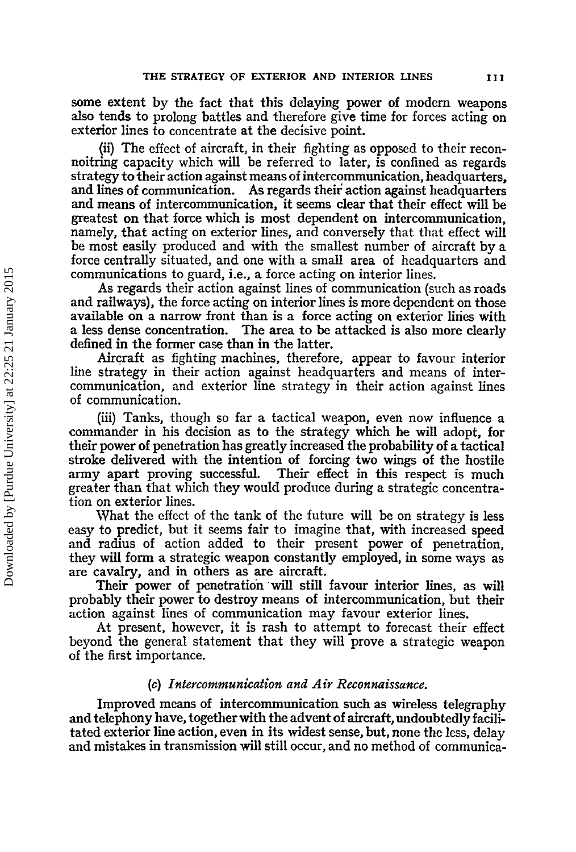some extent by the fact that this delaying power of modern weapons also tends to prolong battles and therefore **give** time for forces acting on exterior lines to concentrate at the decisive point.

**(ii)** The effect **of** aircraft, in their fighting as opposed to their reconnoitring capacity which will be referred to later, is confined as regards strategy to their action against means of intercommunication, headquarters, and lines of communication. **As** regards their action against headquarters and means of intercommunication, it seems clear that their effect will be greatest on that force which is most dependent on intercommunication, namely, that acting on exterior lines, and conversely that that effect will be most easily produced and with the smallest number of aircraft by a force centrally situated, and one with a small area of headquarters and communications to guard, i.e., a force acting on interior lines.

**As** regards their action against lines of communication (such as roads and railways), the force acting on interior **lines** is more dependent on those available on a narrow front than is a force acting on exterior **lines** with a less dense concentration. The area to be attacked is also more clearly defined in the former case than in the latter.

Aircraft as fighting machines, therefore, appear to favour interior line strategy in their action against headquarters and means of intercommunication, and exterior line strategy in their action against lines **of** communication.

(iii) Tanks, though so far a tactical weapon, even now influence a commander in his decision as to the strategy which he will adopt, for their power of penetration has greatly increased the probability of a tactical stroke delivered with the intention **of** forcing two wings of the hostile army apart proving successful. Their effect in this respect is much greater than that which they would produce during a strategic concentration on exterior lines.

What the effect of the tank of the future will be on strategy is less easy to predict, but it seems fair to imagine that, with increased speed and radius of action added to their present power of penetration, they will form a strategic weapon constantly employed, in some ways as are cavalry, and in others as are aircraft.

Their power of penetration'will still favour interior lines, as will probably their power to destroy means of intercommunication, but their action against lines **of** communication may favour exterior lines.

At present, however, it is rash to attempt to forecast their effect beyond the general statement that they **will** prove a strategic weapon of the first importance.

#### *(c) Intercommunication and Air Reconnaissance.*

Improved means of intercommunication such as wireless telegraphy and telephony have, together with the advent of aircraft, undoubtedly facilitated exterior line action, even in its widest sense, but, none the less, delay and mistakes in transmission will still occur, and no method of communica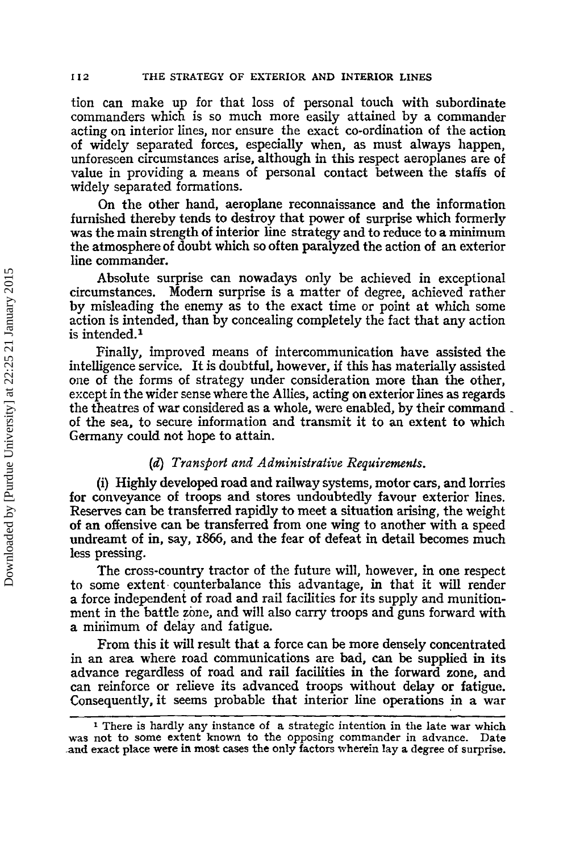tion can make up for that loss of personal touch with subordinate commanders which is so much more easily attained by a commander acting on interior lines, nor ensure the exact co-ordination of the action of widely separated forces, especially when, as must always happen, unforeseen circumstances arise, although in this respect aeroplanes are **of**  value in providing a means of personal contact between the staffs of widely separated formations.

On the other hand, aeroplane reconnaissance and the information furnished thereby tends to destroy that power **of** surprise which formerly was the main strength of interior line strategy and to reduce to a minimum the atmosphere **of** doubt which so often paralyzed the action of **an** exterior line commander.

Absolute surprise can nowadays only be achieved in exceptional circumstances. Modem surprise is a matter of degree, achieved rather by misleading the enemy as to the exact time or point at which some action is intended, than by concealing completely the fact that any action is intended.<sup>1</sup>

Finally, improved means **of** intercommunication have assisted the intelligence service. It is doubtful, however, if this has materially assisted one of the forms **of** strategy under consideration more than the other, except in the wider sense where the Allies, acting **on** exterior **lines as** regards the theatres of war considered as a whole, were enabled, by their command.<br>of the sea, to secure information and transmit it to an extent to which Germany could not hope to attain.

## (d) *TransPort and Administrative Requirements.*

(i) Highly developed road and railway systems, motor cars, and lorries for conveyance of troops and stores undoubtedly favour exterior lines. Reserves can be transferred rapidly *to* meet a situation arising, the weight **of** an offensive can be transferred from one wing to another with a speed undreamt of in, say, **1866,** and the fear **of** defeat in detail becomes much less pressing.

The cross-country tractor of the future will, however, in one respect to some extent. counterbalance this advantage, in that it will render a force independent of road and rail facilities for its supply and munitionment in the battle zone, and will also carry troops and guns forward with a minimum of delay and fatigue.

From this it will result that a force can be more densely concentrated in an area where road communications are bad, can be supplied in its advance regardless of road and rail facilities **in** the forward zone, and can reinforce or relieve its advanced troops without delay or fatigue. Consequently, it seems probable that interior line operations in a war

*<sup>1</sup>***Them is** hardly any instance of a strategic intention in the late **war which**  was not to some extent known to the opposing commander in advance. Date and exact place were **in most cases the** only factors wherein lay a degree of **surprise.**